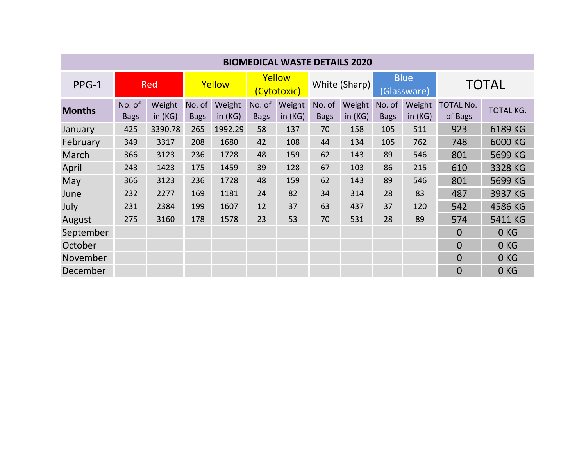| <b>BIOMEDICAL WASTE DETAILS 2020</b> |                       |                     |                       |                     |                       |                  |                       |                     |                            |                     |                             |                  |
|--------------------------------------|-----------------------|---------------------|-----------------------|---------------------|-----------------------|------------------|-----------------------|---------------------|----------------------------|---------------------|-----------------------------|------------------|
| $PPG-1$                              | <b>Red</b>            |                     | Yellow                |                     | Yellow<br>(Cytotoxic) |                  | White (Sharp)         |                     | <b>Blue</b><br>(Glassware) |                     | <b>TOTAL</b>                |                  |
| <b>Months</b>                        | No. of<br><b>Bags</b> | Weight<br>in $(KG)$ | No. of<br><b>Bags</b> | Weight<br>in $(KG)$ | No. of<br><b>Bags</b> | Weight<br>in(KG) | No. of<br><b>Bags</b> | Weight<br>in $(KG)$ | No. of<br><b>Bags</b>      | Weight<br>in $(KG)$ | <b>TOTAL No.</b><br>of Bags | <b>TOTAL KG.</b> |
| January                              | 425                   | 3390.78             | 265                   | 1992.29             | 58                    | 137              | 70                    | 158                 | 105                        | 511                 | 923                         | 6189 KG          |
| February                             | 349                   | 3317                | 208                   | 1680                | 42                    | 108              | 44                    | 134                 | 105                        | 762                 | 748                         | 6000 KG          |
| March                                | 366                   | 3123                | 236                   | 1728                | 48                    | 159              | 62                    | 143                 | 89                         | 546                 | 801                         | 5699 KG          |
| April                                | 243                   | 1423                | 175                   | 1459                | 39                    | 128              | 67                    | 103                 | 86                         | 215                 | 610                         | 3328 KG          |
| May                                  | 366                   | 3123                | 236                   | 1728                | 48                    | 159              | 62                    | 143                 | 89                         | 546                 | 801                         | 5699 KG          |
| June                                 | 232                   | 2277                | 169                   | 1181                | 24                    | 82               | 34                    | 314                 | 28                         | 83                  | 487                         | 3937 KG          |
| July                                 | 231                   | 2384                | 199                   | 1607                | 12                    | 37               | 63                    | 437                 | 37                         | 120                 | 542                         | 4586 KG          |
| August                               | 275                   | 3160                | 178                   | 1578                | 23                    | 53               | 70                    | 531                 | 28                         | 89                  | 574                         | 5411 KG          |
| September                            |                       |                     |                       |                     |                       |                  |                       |                     |                            |                     | $\overline{0}$              | 0 <sub>KG</sub>  |
| October                              |                       |                     |                       |                     |                       |                  |                       |                     |                            |                     | $\overline{0}$              | 0 <sub>KG</sub>  |
| November                             |                       |                     |                       |                     |                       |                  |                       |                     |                            |                     | $\Omega$                    | 0 <sub>KG</sub>  |
| December                             |                       |                     |                       |                     |                       |                  |                       |                     |                            |                     | $\overline{0}$              | 0 <sub>KG</sub>  |